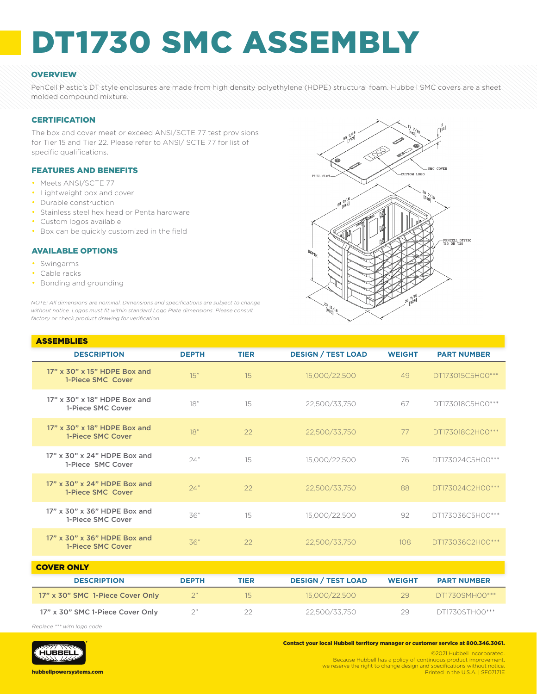# DT1730 SMC ASSEMBLY

## **OVERVIEW**

PenCell Plastic's DT style enclosures are made from high density polyethylene (HDPE) structural foam. Hubbell SMC covers are a sheet molded compound mixture.

#### **CERTIFICATION**

The box and cover meet or exceed ANSI/SCTE 77 test provisions for Tier 15 and Tier 22. Please refer to ANSI/ SCTE 77 for list of specific qualifications.

## FEATURES AND BENEFITS

- Meets ANSI/SCTE 77
- Lightweight box and cover
- Durable construction
- Stainless steel hex head or Penta hardware
- Custom logos available
- Box can be quickly customized in the field

#### AVAILABLE OPTIONS

- Swingarms
- Cable racks

ASSEMBLIES

• Bonding and grounding

*NOTE: All dimensions are nominal. Dimensions and specifications are subject to change without notice. Logos must fit within standard Logo Plate dimensions. Please consult factory or check product drawing for verification.*



| АЭЭНИРНЕЭ                                         |              |             |                           |               |                    |
|---------------------------------------------------|--------------|-------------|---------------------------|---------------|--------------------|
| <b>DESCRIPTION</b>                                | <b>DEPTH</b> | <b>TIER</b> | <b>DESIGN / TEST LOAD</b> | <b>WEIGHT</b> | <b>PART NUMBER</b> |
| 17" x 30" x 15" HDPE Box and<br>1-Piece SMC Cover | 15"          | 15          | 15,000/22,500             | 49            | DT173015C5H00***   |
| 17" x 30" x 18" HDPE Box and<br>1-Piece SMC Cover | 18"          | 15          | 22,500/33,750             | 67            | DT173018C5H00***   |
| 17" x 30" x 18" HDPE Box and<br>1-Piece SMC Cover | 18"          | 22          | 22,500/33,750             | 77            | DT173018C2H00***   |
| 17" x 30" x 24" HDPE Box and<br>1-Piece SMC Cover | 24"          | 15          | 15,000/22,500             | 76            | DT173024C5H00***   |
| 17" x 30" x 24" HDPE Box and<br>1-Piece SMC Cover | 24"          | 22          | 22,500/33,750             | 88            | DT173024C2H00***   |
| 17" x 30" x 36" HDPE Box and<br>1-Piece SMC Cover | 36"          | 15          | 15,000/22,500             | 92            | DT173036C5H00***   |
| 17" x 30" x 36" HDPE Box and<br>1-Piece SMC Cover | 36"          | 22          | 22,500/33,750             | 108           | DT173036C2H00***   |
|                                                   |              |             |                           |               |                    |

| <b>COVER ONLY</b>                |              |      |                           |               |                    |  |
|----------------------------------|--------------|------|---------------------------|---------------|--------------------|--|
| <b>DESCRIPTION</b>               | <b>DEPTH</b> | TIER | <b>DESIGN / TEST LOAD</b> | <b>WEIGHT</b> | <b>PART NUMBER</b> |  |
| 17" x 30" SMC 1-Piece Cover Only |              | 15   | 15.000/22.500             | 29            | DT1730SMH00***     |  |
| 17" x 30" SMC 1-Piece Cover Only |              |      | 22.500/33.750             | 29.           | DT1730STH00***     |  |

*Replace \*\*\* with logo code*



Contact your local Hubbell territory manager or customer service at 800.346.3061.

©2021 Hubbell Incorporated. Because Hubbell has a policy of continuous product improvement, we reserve the right to change design and specifications without notice. Printed in the U.S.A. | SF07171E

hubbellpowersystems.com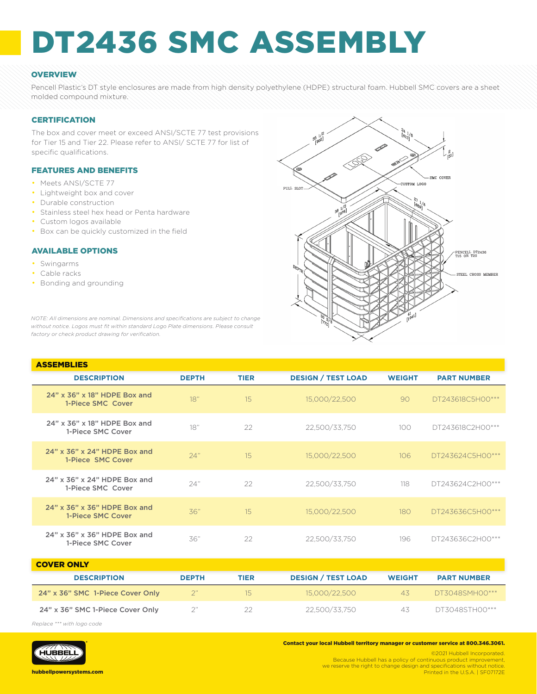# DT2436 SMC ASSEMBLY

## **OVERVIEW**

Pencell Plastic's DT style enclosures are made from high density polyethylene (HDPE) structural foam. Hubbell SMC covers are a sheet molded compound mixture.

#### **CERTIFICATION**

The box and cover meet or exceed ANSI/SCTE 77 test provisions for Tier 15 and Tier 22. Please refer to ANSI/ SCTE 77 for list of specific qualifications.

## FEATURES AND BENEFITS

- Meets ANSI/SCTE 77
- Lightweight box and cover
- Durable construction
- Stainless steel hex head or Penta hardware
- Custom logos available
- Box can be quickly customized in the field

#### AVAILABLE OPTIONS

- Swingarms
- Cable racks
- Bonding and grounding



*NOTE: All dimensions are nominal. Dimensions and specifications are subject to change without notice. Logos must fit within standard Logo Plate dimensions. Please consult factory or check product drawing for verification.*

| <b>ASSEMBLIES</b>                                 |              |             |                           |               |                    |
|---------------------------------------------------|--------------|-------------|---------------------------|---------------|--------------------|
| <b>DESCRIPTION</b>                                | <b>DEPTH</b> | <b>TIER</b> | <b>DESIGN / TEST LOAD</b> | <b>WEIGHT</b> | <b>PART NUMBER</b> |
| 24" x 36" x 18" HDPE Box and<br>1-Piece SMC Cover | 18"          | 15          | 15,000/22,500             | 90            | DT243618C5H00***   |
| 24" x 36" x 18" HDPE Box and<br>1-Piece SMC Cover | 18"          | 22          | 22,500/33,750             | 100           | DT243618C2H00***   |
| 24" x 36" x 24" HDPE Box and<br>1-Piece SMC Cover | 24"          | 15          | 15,000/22,500             | 106           | DT243624C5H00***   |
| 24" x 36" x 24" HDPE Box and<br>1-Piece SMC Cover | 24"          | 22          | 22,500/33,750             | 118           | DT243624C2H00***   |
| 24" x 36" x 36" HDPE Box and<br>1-Piece SMC Cover | 36"          | 15          | 15,000/22,500             | 180           | DT243636C5H00***   |
| 24" x 36" x 36" HDPE Box and<br>1-Piece SMC Cover | 36"          | 22          | 22,500/33,750             | 196           | DT243636C2H00***   |

| <b>COVER ONLY</b>                |              |      |                           |               |                    |
|----------------------------------|--------------|------|---------------------------|---------------|--------------------|
| <b>DESCRIPTION</b>               | <b>DEPTH</b> | TIER | <b>DESIGN / TEST LOAD</b> | <b>WEIGHT</b> | <b>PART NUMBER</b> |
| 24" x 36" SMC 1-Piece Cover Only |              | 15.  | 15.000/22.500             | 4.5           | DT3048SMH00***     |
| 24" x 36" SMC 1-Piece Cover Only |              | 22   | 22.500/33.750             | 4.5           | DT3048STH00***     |

*Replace \*\*\* with logo code*



Contact your local Hubbell territory manager or customer service at 800.346.3061.

©2021 Hubbell Incorporated. Because Hubbell has a policy of continuous product improvement, we reserve the right to change design and specifications without notice. Printed in the U.S.A. | SF07172E

hubbellpowersystems.com